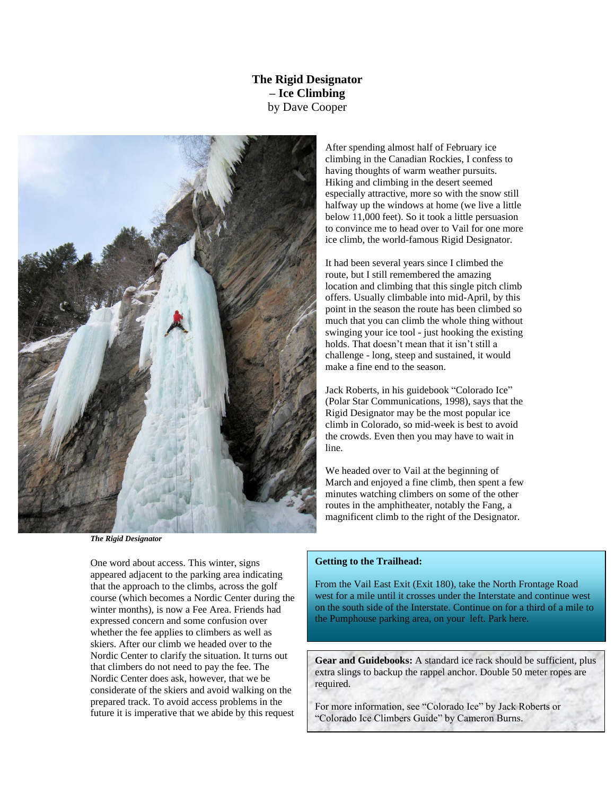## **The Rigid Designator – Ice Climbing** by Dave Cooper



*The Rigid Designator*

One word about access. This winter, signs appeared adjacent to the parking area indicating that the approach to the climbs, across the golf course (which becomes a Nordic Center during the winter months), is now a Fee Area. Friends had expressed concern and some confusion over whether the fee applies to climbers as well as skiers. After our climb we headed over to the Nordic Center to clarify the situation. It turns out that climbers do not need to pay the fee. The Nordic Center does ask, however, that we be considerate of the skiers and avoid walking on the prepared track. To avoid access problems in the future it is imperative that we abide by this request After spending almost half of February ice climbing in the Canadian Rockies, I confess to having thoughts of warm weather pursuits. Hiking and climbing in the desert seemed especially attractive, more so with the snow still halfway up the windows at home (we live a little below 11,000 feet). So it took a little persuasion to convince me to head over to Vail for one more ice climb, the world-famous Rigid Designator.

It had been several years since I climbed the route, but I still remembered the amazing location and climbing that this single pitch climb offers. Usually climbable into mid-April, by this point in the season the route has been climbed so much that you can climb the whole thing without swinging your ice tool - just hooking the existing holds. That doesn't mean that it isn't still a challenge - long, steep and sustained, it would make a fine end to the season.

Jack Roberts, in his guidebook "Colorado Ice" (Polar Star Communications, 1998), says that the Rigid Designator may be the most popular ice climb in Colorado, so mid-week is best to avoid the crowds. Even then you may have to wait in line.

We headed over to Vail at the beginning of March and enjoyed a fine climb, then spent a few minutes watching climbers on some of the other routes in the amphitheater, notably the Fang, a magnificent climb to the right of the Designator.

## **Getting to the Trailhead:**

From the Vail East Exit (Exit 180), take the North Frontage Road west for a mile until it crosses under the Interstate and continue west on the south side of the Interstate. Continue on for a third of a mile to the Pumphouse parking area, on your left. Park here.

Gear and Guidebooks: A standard ice rack should be sufficient, plus extra slings to backup the rappel anchor. Double 50 meter ropes are required.

For more information, see "Colorado Ice" by Jack Roberts or "Colorado Ice Climbers Guide" by Cameron Burns.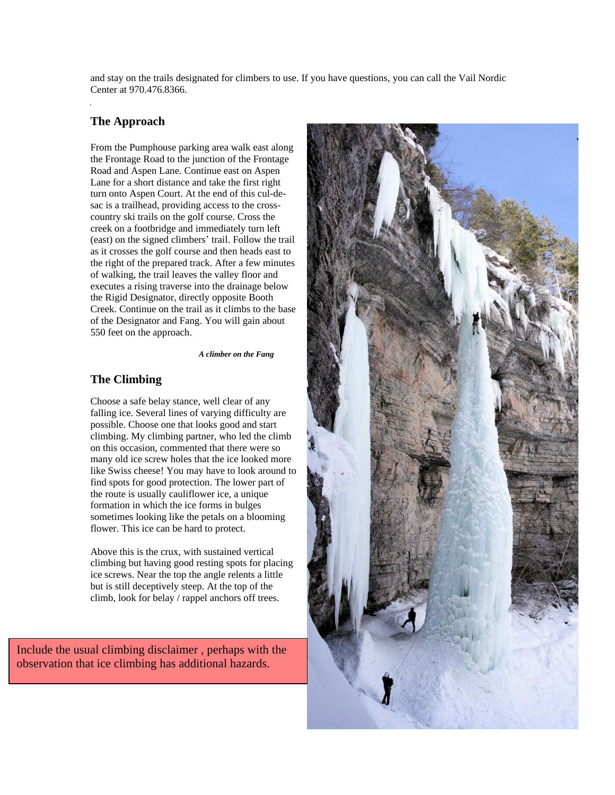and stay on the trails designated for climbers to use. If you have questions, you can call the Vail Nordic Center at 970.476.8366.

## **The Approach**

From the Pumphouse parking area walk east along the Frontage Road to the junction of the Frontage Road and Aspen Lane. Continue east on Aspen Lane for a short distance and take the first right turn onto Aspen Court. At the end of this cul-desac is a trailhead, providing access to the crosscountry ski trails on the golf course. Cross the creek on a footbridge and immediately turn left (east) on the signed climbers' trail. Follow the trail as it crosses the golf course and then heads east to the right of the prepared track. After a few minutes of walking, the trail leaves the valley floor and executes a rising traverse into the drainage below the Rigid Designator, directly opposite Booth Creek. Continue on the trail as it climbs to the base of the Designator and Fang. You will gain about 550 feet on the approach.

*A climber on the Fang*

## **The Climbing**

Choose a safe belay stance, well clear of any falling ice. Several lines of varying difficulty are possible. Choose one that looks good and start climbing. My climbing partner, who led the climb on this occasion, commented that there were so many old ice screw holes that the ice looked more like Swiss cheese! You may have to look around to find spots for good protection. The lower part of the route is usually cauliflower ice, a unique formation in which the ice forms in bulges sometimes looking like the petals on a blooming flower. This ice can be hard to protect.

Above this is the crux, with sustained vertical climbing but having good resting spots for placing ice screws. Near the top the angle relents a little but is still deceptively steep. At the top of the climb, look for belay / rappel anchors off trees.

Include the usual climbing disclaimer , perhaps with the observation that ice climbing has additional hazards.